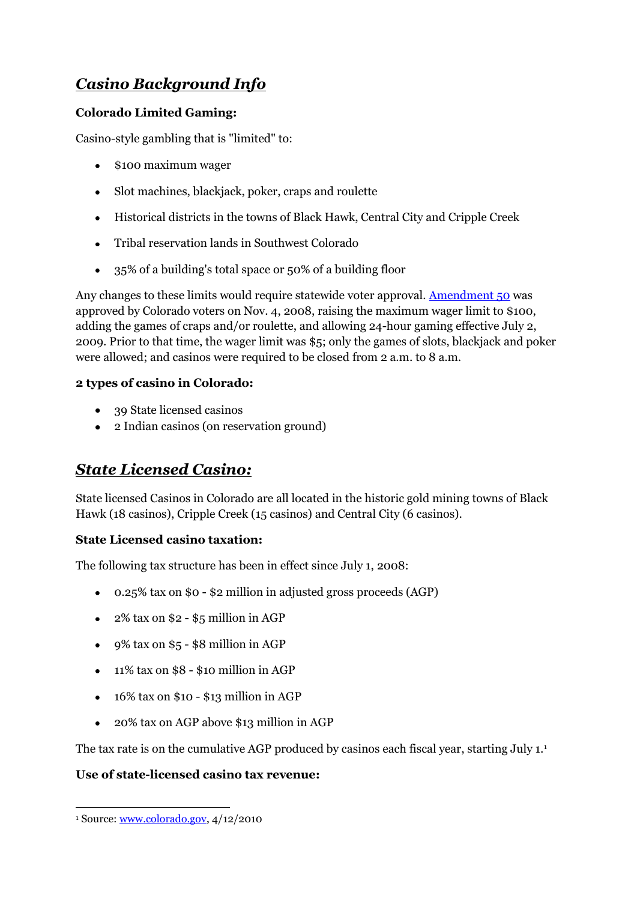# *Casino Background Info*

### **Colorado Limited Gaming:**

Casino-style gambling that is "limited" to:

- \$100 maximum wager
- Slot machines, blackjack, poker, craps and roulette
- Historical districts in the towns of Black Hawk, Central City and Cripple Creek
- Tribal reservation lands in Southwest Colorado
- 35% of a building's total space or 50% of a building floor  $\bullet$

Any changes to these limits would require statewide voter approval. [Amendment 50](http://www.colorado.gov/cs/Satellite?c=Page&cid=1218795716371&pagename=Rev-Gaming%2FRGMLayout) was approved by Colorado voters on Nov. 4, 2008, raising the maximum wager limit to \$100, adding the games of craps and/or roulette, and allowing 24-hour gaming effective July 2, 2009. Prior to that time, the wager limit was \$5; only the games of slots, blackjack and poker were allowed; and casinos were required to be closed from 2 a.m. to 8 a.m.

#### **2 types of casino in Colorado:**

- 39 State licensed casinos
- 2 Indian casinos (on reservation ground)

## *State Licensed Casino:*

State licensed Casinos in Colorado are all located in the historic gold mining towns of Black Hawk (18 casinos), Cripple Creek (15 casinos) and Central City (6 casinos).

#### **State Licensed casino taxation:**

The following tax structure has been in effect since July 1, 2008:

- 0.25% tax on \$0 \$2 million in adjusted gross proceeds (AGP)
- $\bullet$  2% tax on \$2 \$5 million in AGP
- $\bullet$  9% tax on \$5 \$8 million in AGP
- $\bullet$  11% tax on \$8 \$10 million in AGP
- $\cdot$  16% tax on \$10 \$13 million in AGP
- 20% tax on AGP above \$13 million in AGP  $\bullet$

The tax rate is on the cumulative AGP produced by casinos each fiscal year, starting July 1.<sup>1</sup>

#### **Use of state-licensed casino tax revenue:**

 $\overline{a}$ <sup>1</sup> Source: [www.colorado.gov,](http://www.colorado.gov/) 4/12/2010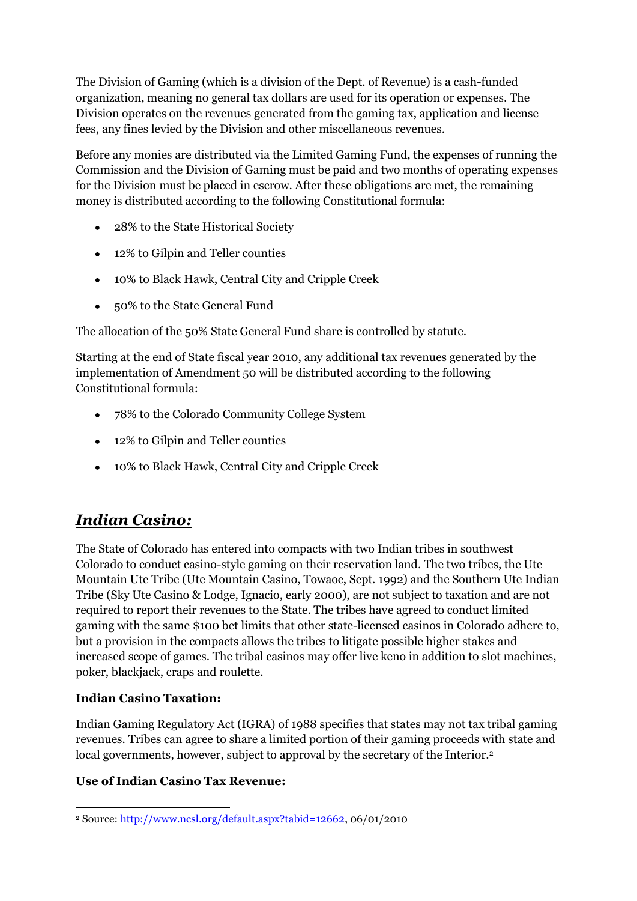The Division of Gaming (which is a division of the Dept. of Revenue) is a cash-funded organization, meaning no general tax dollars are used for its operation or expenses. The Division operates on the revenues generated from the gaming tax, application and license fees, any fines levied by the Division and other miscellaneous revenues.

Before any monies are distributed via the Limited Gaming Fund, the expenses of running the Commission and the Division of Gaming must be paid and two months of operating expenses for the Division must be placed in escrow. After these obligations are met, the remaining money is distributed according to the following Constitutional formula:

- 28% to the State Historical Society
- 12% to Gilpin and Teller counties
- 10% to Black Hawk, Central City and Cripple Creek
- 50% to the State General Fund

The allocation of the 50% State General Fund share is controlled by statute.

Starting at the end of State fiscal year 2010, any additional tax revenues generated by the implementation of Amendment 50 will be distributed according to the following Constitutional formula:

- 78% to the Colorado Community College System
- 12% to Gilpin and Teller counties
- 10% to Black Hawk, Central City and Cripple Creek

## *Indian Casino:*

The State of Colorado has entered into compacts with two Indian tribes in southwest Colorado to conduct casino-style gaming on their reservation land. The two tribes, the Ute Mountain Ute Tribe (Ute Mountain Casino, Towaoc, Sept. 1992) and the Southern Ute Indian Tribe (Sky Ute Casino & Lodge, Ignacio, early 2000), are not subject to taxation and are not required to report their revenues to the State. The tribes have agreed to conduct limited gaming with the same \$100 bet limits that other state-licensed casinos in Colorado adhere to, but a provision in the compacts allows the tribes to litigate possible higher stakes and increased scope of games. The tribal casinos may offer live keno in addition to slot machines, poker, blackjack, craps and roulette.

#### **Indian Casino Taxation:**

Indian Gaming Regulatory Act (IGRA) of 1988 specifies that states may not tax tribal gaming revenues. Tribes can agree to share a limited portion of their gaming proceeds with state and local governments, however, subject to approval by the secretary of the Interior.<sup>2</sup>

#### **Use of Indian Casino Tax Revenue:**

 $\overline{a}$ <sup>2</sup> Source[: http://www.ncsl.org/default.aspx?tabid=12662,](http://www.ncsl.org/default.aspx?tabid=12662) 06/01/2010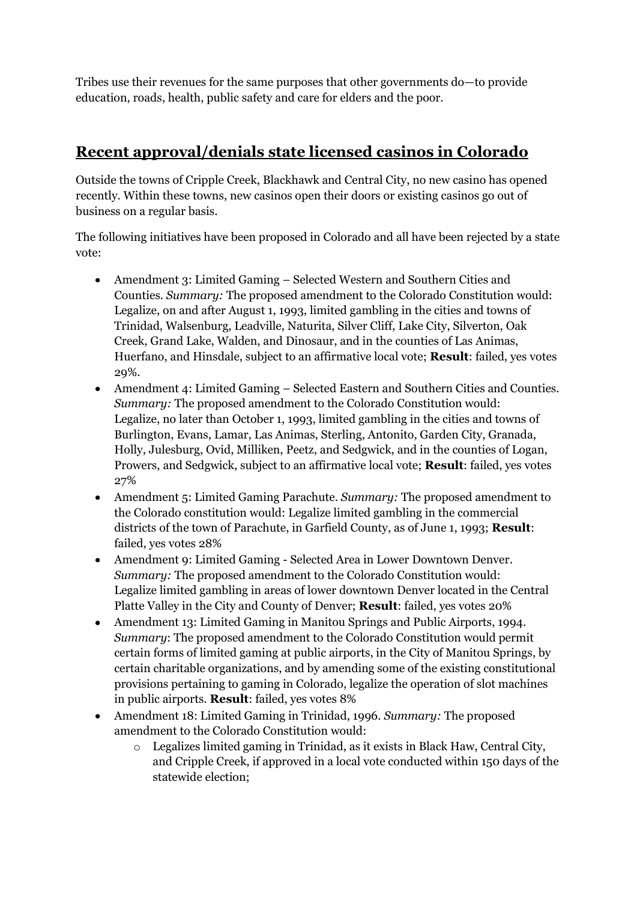Tribes use their revenues for the same purposes that other governments do—to provide education, roads, health, public safety and care for elders and the poor.

### **Recent approval/denials state licensed casinos in Colorado**

Outside the towns of Cripple Creek, Blackhawk and Central City, no new casino has opened recently. Within these towns, new casinos open their doors or existing casinos go out of business on a regular basis.

The following initiatives have been proposed in Colorado and all have been rejected by a state vote:

- Amendment 3: Limited Gaming Selected Western and Southern Cities and Counties. *Summary:* The proposed amendment to the Colorado Constitution would: Legalize, on and after August 1, 1993, limited gambling in the cities and towns of Trinidad, Walsenburg, Leadville, Naturita, Silver Cliff, Lake City, Silverton, Oak Creek, Grand Lake, Walden, and Dinosaur, and in the counties of Las Animas, Huerfano, and Hinsdale, subject to an affirmative local vote; **Result**: failed, yes votes 29%.
- Amendment 4: Limited Gaming Selected Eastern and Southern Cities and Counties. *Summary:* The proposed amendment to the Colorado Constitution would: Legalize, no later than October 1, 1993, limited gambling in the cities and towns of Burlington, Evans, Lamar, Las Animas, Sterling, Antonito, Garden City, Granada, Holly, Julesburg, Ovid, Milliken, Peetz, and Sedgwick, and in the counties of Logan, Prowers, and Sedgwick, subject to an affirmative local vote; **Result**: failed, yes votes 27%
- Amendment 5: Limited Gaming Parachute. *Summary:* The proposed amendment to the Colorado constitution would: Legalize limited gambling in the commercial districts of the town of Parachute, in Garfield County, as of June 1, 1993; **Result**: failed, yes votes 28%
- Amendment 9: Limited Gaming Selected Area in Lower Downtown Denver. *Summary:* The proposed amendment to the Colorado Constitution would: Legalize limited gambling in areas of lower downtown Denver located in the Central Platte Valley in the City and County of Denver; **Result**: failed, yes votes 20%
- Amendment 13: Limited Gaming in Manitou Springs and Public Airports, 1994. *Summary*: The proposed amendment to the Colorado Constitution would permit certain forms of limited gaming at public airports, in the City of Manitou Springs, by certain charitable organizations, and by amending some of the existing constitutional provisions pertaining to gaming in Colorado, legalize the operation of slot machines in public airports. **Result**: failed, yes votes 8%
- Amendment 18: Limited Gaming in Trinidad, 1996. *Summary:* The proposed amendment to the Colorado Constitution would:
	- $\circ$  Legalizes limited gaming in Trinidad, as it exists in Black Haw, Central City, and Cripple Creek, if approved in a local vote conducted within 150 days of the statewide election;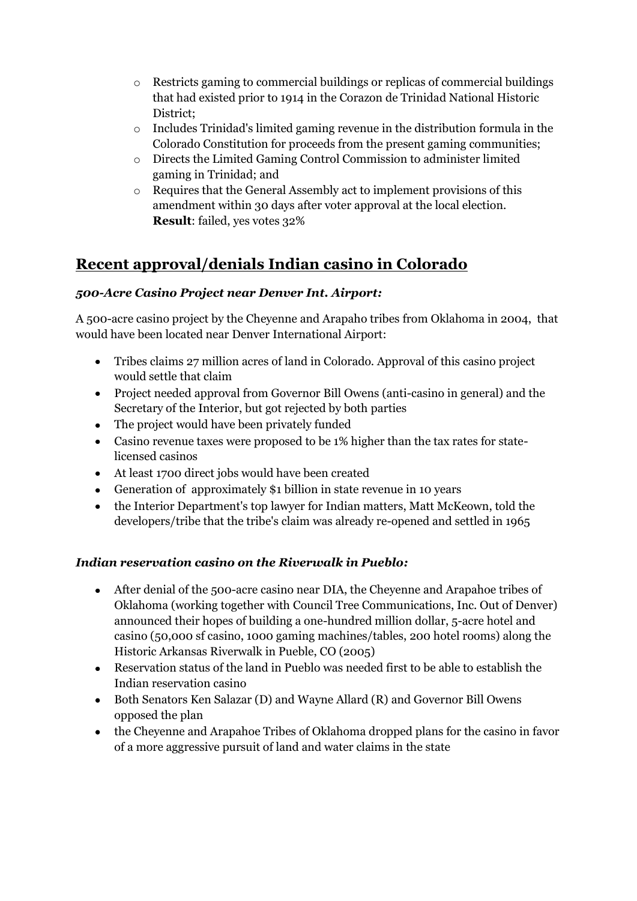- o Restricts gaming to commercial buildings or replicas of commercial buildings that had existed prior to 1914 in the Corazon de Trinidad National Historic District;
- o Includes Trinidad's limited gaming revenue in the distribution formula in the Colorado Constitution for proceeds from the present gaming communities;
- o Directs the Limited Gaming Control Commission to administer limited gaming in Trinidad; and
- o Requires that the General Assembly act to implement provisions of this amendment within 30 days after voter approval at the local election. **Result**: failed, yes votes 32%

## **Recent approval/denials Indian casino in Colorado**

#### *500-Acre Casino Project near Denver Int. Airport:*

A 500-acre casino project by the Cheyenne and Arapaho tribes from Oklahoma in 2004, that would have been located near Denver International Airport:

- Tribes claims 27 million acres of land in Colorado. Approval of this casino project would settle that claim
- Project needed approval from Governor Bill Owens (anti-casino in general) and the Secretary of the Interior, but got rejected by both parties
- The project would have been privately funded
- Casino revenue taxes were proposed to be 1% higher than the tax rates for statelicensed casinos
- At least 1700 direct jobs would have been created
- Generation of approximately \$1 billion in state revenue in 10 years
- the Interior Department's top lawyer for Indian matters, Matt McKeown, told the developers/tribe that the tribe's claim was already re-opened and settled in 1965

#### *Indian reservation casino on the Riverwalk in Pueblo:*

- After denial of the 500-acre casino near DIA, the Cheyenne and Arapahoe tribes of Oklahoma (working together with Council Tree Communications, Inc. Out of Denver) announced their hopes of building a one-hundred million dollar, 5-acre hotel and casino (50,000 sf casino, 1000 gaming machines/tables, 200 hotel rooms) along the Historic Arkansas Riverwalk in Pueble, CO (2005)
- Reservation status of the land in Pueblo was needed first to be able to establish the Indian reservation casino
- Both Senators Ken Salazar (D) and Wayne Allard (R) and Governor Bill Owens opposed the plan
- the Cheyenne and Arapahoe Tribes of Oklahoma dropped plans for the casino in favor of a more aggressive pursuit of land and water claims in the state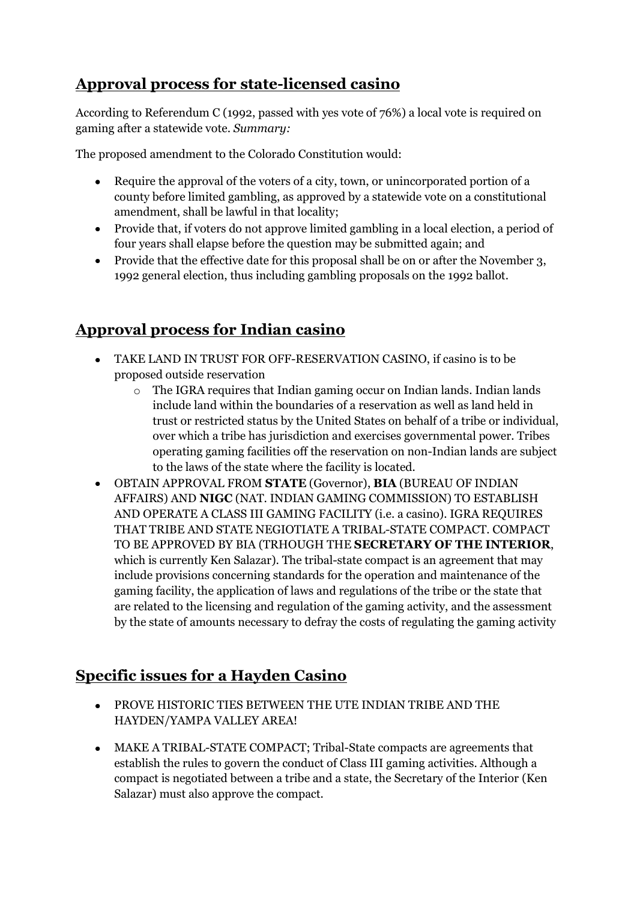## **Approval process for state-licensed casino**

According to Referendum C (1992, passed with yes vote of 76%) a local vote is required on gaming after a statewide vote. *Summary:*

The proposed amendment to the Colorado Constitution would:

- $\bullet$ Require the approval of the voters of a city, town, or unincorporated portion of a county before limited gambling, as approved by a statewide vote on a constitutional amendment, shall be lawful in that locality;
- Provide that, if voters do not approve limited gambling in a local election, a period of four years shall elapse before the question may be submitted again; and
- Provide that the effective date for this proposal shall be on or after the November 3, 1992 general election, thus including gambling proposals on the 1992 ballot.

## **Approval process for Indian casino**

- TAKE LAND IN TRUST FOR OFF-RESERVATION CASINO, if casino is to be proposed outside reservation
	- o The IGRA requires that Indian gaming occur on Indian lands. Indian lands include land within the boundaries of a reservation as well as land held in trust or restricted status by the United States on behalf of a tribe or individual, over which a tribe has jurisdiction and exercises governmental power. Tribes operating gaming facilities off the reservation on non-Indian lands are subject to the laws of the state where the facility is located.
- OBTAIN APPROVAL FROM **STATE** (Governor), **BIA** (BUREAU OF INDIAN AFFAIRS) AND **NIGC** (NAT. INDIAN GAMING COMMISSION) TO ESTABLISH AND OPERATE A CLASS III GAMING FACILITY (i.e. a casino). IGRA REQUIRES THAT TRIBE AND STATE NEGIOTIATE A TRIBAL-STATE COMPACT. COMPACT TO BE APPROVED BY BIA (TRHOUGH THE **SECRETARY OF THE INTERIOR**, which is currently Ken Salazar). The tribal-state compact is an agreement that may include provisions concerning standards for the operation and maintenance of the gaming facility, the application of laws and regulations of the tribe or the state that are related to the licensing and regulation of the gaming activity, and the assessment by the state of amounts necessary to defray the costs of regulating the gaming activity

## **Specific issues for a Hayden Casino**

- PROVE HISTORIC TIES BETWEEN THE UTE INDIAN TRIBE AND THE HAYDEN/YAMPA VALLEY AREA!
- MAKE A TRIBAL-STATE COMPACT; Tribal-State compacts are agreements that establish the rules to govern the conduct of Class III gaming activities. Although a compact is negotiated between a tribe and a state, the Secretary of the Interior (Ken Salazar) must also approve the compact.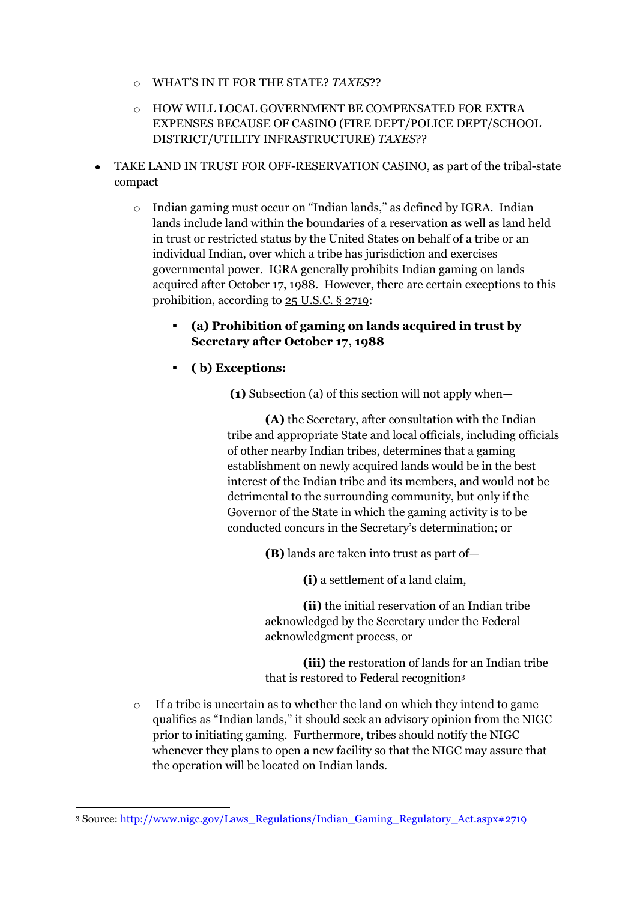- o WHAT'S IN IT FOR THE STATE? *TAXES*??
- o HOW WILL LOCAL GOVERNMENT BE COMPENSATED FOR EXTRA EXPENSES BECAUSE OF CASINO (FIRE DEPT/POLICE DEPT/SCHOOL DISTRICT/UTILITY INFRASTRUCTURE) *TAXES*??
- TAKE LAND IN TRUST FOR OFF-RESERVATION CASINO, as part of the tribal-state compact
	- o Indian gaming must occur on "Indian lands," as defined by IGRA. Indian lands include land within the boundaries of a reservation as well as land held in trust or restricted status by the United States on behalf of a tribe or an individual Indian, over which a tribe has jurisdiction and exercises governmental power. IGRA generally prohibits Indian gaming on lands acquired after October 17, 1988. However, there are certain exceptions to this prohibition, according to  $25$  U.S.C. § 2719:
		- **(a) Prohibition of gaming on lands acquired in trust by Secretary after October 17, 1988**
		- **( b) Exceptions:**

**(1)** Subsection (a) of this section will not apply when—

**(A)** the Secretary, after consultation with the Indian tribe and appropriate State and local officials, including officials of other nearby Indian tribes, determines that a gaming establishment on newly acquired lands would be in the best interest of the Indian tribe and its members, and would not be detrimental to the surrounding community, but only if the Governor of the State in which the gaming activity is to be conducted concurs in the Secretary's determination; or

**(B)** lands are taken into trust as part of—

**(i)** a settlement of a land claim,

**(ii)** the initial reservation of an Indian tribe acknowledged by the Secretary under the Federal acknowledgment process, or

**(iii)** the restoration of lands for an Indian tribe that is restored to Federal recognition<sup>3</sup>

o If a tribe is uncertain as to whether the land on which they intend to game qualifies as "Indian lands," it should seek an advisory opinion from the NIGC prior to initiating gaming. Furthermore, tribes should notify the NIGC whenever they plans to open a new facility so that the NIGC may assure that the operation will be located on Indian lands.

 $\overline{a}$ 

<sup>3</sup> Source[: http://www.nigc.gov/Laws\\_Regulations/Indian\\_Gaming\\_Regulatory\\_Act.aspx#2719](http://www.nigc.gov/Laws_Regulations/Indian_Gaming_Regulatory_Act.aspx#2719)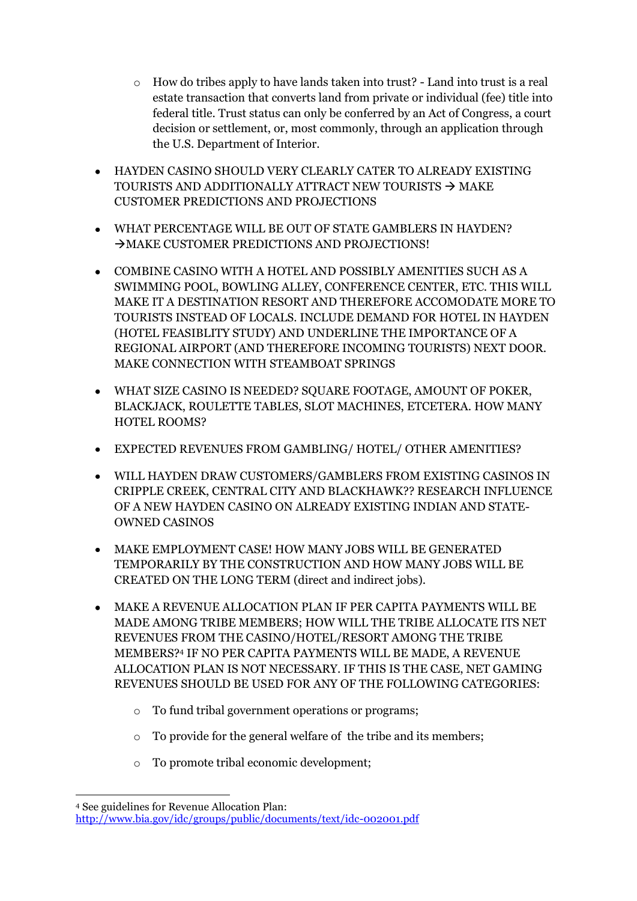- o How do tribes apply to have lands taken into trust? Land into trust is a real estate transaction that converts land from private or individual (fee) title into federal title. Trust status can only be conferred by an Act of Congress, a court decision or settlement, or, most commonly, through an application through the U.S. Department of Interior.
- HAYDEN CASINO SHOULD VERY CLEARLY CATER TO ALREADY EXISTING TOURISTS AND ADDITIONALLY ATTRACT NEW TOURISTS  $\rightarrow$  MAKE CUSTOMER PREDICTIONS AND PROJECTIONS
- WHAT PERCENTAGE WILL BE OUT OF STATE GAMBLERS IN HAYDEN?  $\rightarrow$  MAKE CUSTOMER PREDICTIONS AND PROJECTIONS!
- COMBINE CASINO WITH A HOTEL AND POSSIBLY AMENITIES SUCH AS A SWIMMING POOL, BOWLING ALLEY, CONFERENCE CENTER, ETC. THIS WILL MAKE IT A DESTINATION RESORT AND THEREFORE ACCOMODATE MORE TO TOURISTS INSTEAD OF LOCALS. INCLUDE DEMAND FOR HOTEL IN HAYDEN (HOTEL FEASIBLITY STUDY) AND UNDERLINE THE IMPORTANCE OF A REGIONAL AIRPORT (AND THEREFORE INCOMING TOURISTS) NEXT DOOR. MAKE CONNECTION WITH STEAMBOAT SPRINGS
- WHAT SIZE CASINO IS NEEDED? SQUARE FOOTAGE, AMOUNT OF POKER, BLACKJACK, ROULETTE TABLES, SLOT MACHINES, ETCETERA. HOW MANY HOTEL ROOMS?
- EXPECTED REVENUES FROM GAMBLING/ HOTEL/ OTHER AMENITIES?
- WILL HAYDEN DRAW CUSTOMERS/GAMBLERS FROM EXISTING CASINOS IN CRIPPLE CREEK, CENTRAL CITY AND BLACKHAWK?? RESEARCH INFLUENCE OF A NEW HAYDEN CASINO ON ALREADY EXISTING INDIAN AND STATE-OWNED CASINOS
- MAKE EMPLOYMENT CASE! HOW MANY JOBS WILL BE GENERATED TEMPORARILY BY THE CONSTRUCTION AND HOW MANY JOBS WILL BE CREATED ON THE LONG TERM (direct and indirect jobs).
- MAKE A REVENUE ALLOCATION PLAN IF PER CAPITA PAYMENTS WILL BE MADE AMONG TRIBE MEMBERS; HOW WILL THE TRIBE ALLOCATE ITS NET REVENUES FROM THE CASINO/HOTEL/RESORT AMONG THE TRIBE MEMBERS?<sup>4</sup> IF NO PER CAPITA PAYMENTS WILL BE MADE, A REVENUE ALLOCATION PLAN IS NOT NECESSARY. IF THIS IS THE CASE, NET GAMING REVENUES SHOULD BE USED FOR ANY OF THE FOLLOWING CATEGORIES:
	- o To fund tribal government operations or programs;
	- o To provide for the general welfare of the tribe and its members;
	- o To promote tribal economic development;

**.** 

<sup>4</sup> See guidelines for Revenue Allocation Plan:

<http://www.bia.gov/idc/groups/public/documents/text/idc-002001.pdf>